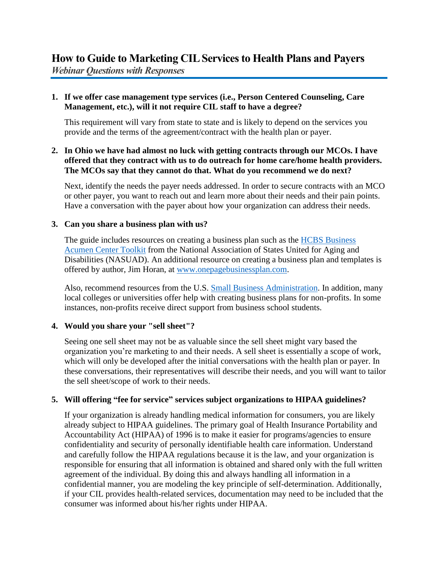# **How to Guide to Marketing CIL Services to Health Plans and Payers**

*Webinar Questions with Responses*

# **1. If we offer case management type services (i.e., Person Centered Counseling, Care Management, etc.), will it not require CIL staff to have a degree?**

This requirement will vary from state to state and is likely to depend on the services you provide and the terms of the agreement/contract with the health plan or payer.

# **2. In Ohio we have had almost no luck with getting contracts through our MCOs. I have offered that they contract with us to do outreach for home care/home health providers. The MCOs say that they cannot do that. What do you recommend we do next?**

Next, identify the needs the payer needs addressed. In order to secure contracts with an MCO or other payer, you want to reach out and learn more about their needs and their pain points. Have a conversation with the payer about how your organization can address their needs.

# **3. Can you share a business plan with us?**

The guide includes resources on creating a business plan such as the [HCBS Business](http://www.hcbsbusinessacumen.org/toolkit.html)  [Acumen Center](http://www.hcbsbusinessacumen.org/toolkit.html) Toolkit from the National Association of States United for Aging and Disabilities (NASUAD). An additional resource on creating a business plan and templates is offered by author, Jim Horan, at [www.onepagebusinessplan.com.](http://www.onepagebusinessplan.com/)

Also, recommend resources from the U.S. [Small Business Administration.](https://www.sba.gov/sites/default/files/2018-12/national-resource-guide_0.pdf) In addition, many local colleges or universities offer help with creating business plans for non-profits. In some instances, non-profits receive direct support from business school students.

# **4. Would you share your "sell sheet"?**

Seeing one sell sheet may not be as valuable since the sell sheet might vary based the organization you're marketing to and their needs. A sell sheet is essentially a scope of work, which will only be developed after the initial conversations with the health plan or payer. In these conversations, their representatives will describe their needs, and you will want to tailor the sell sheet/scope of work to their needs.

# **5. Will offering "fee for service" services subject organizations to HIPAA guidelines?**

If your organization is already handling medical information for consumers, you are likely already subject to HIPAA guidelines. The primary goal of Health Insurance Portability and Accountability Act (HIPAA) of 1996 is to make it easier for programs/agencies to ensure confidentiality and security of personally identifiable health care information. Understand and carefully follow the HIPAA regulations because it is the law, and your organization is responsible for ensuring that all information is obtained and shared only with the full written agreement of the individual. By doing this and always handling all information in a confidential manner, you are modeling the key principle of self-determination. Additionally, if your CIL provides health-related services, documentation may need to be included that the consumer was informed about his/her rights under HIPAA.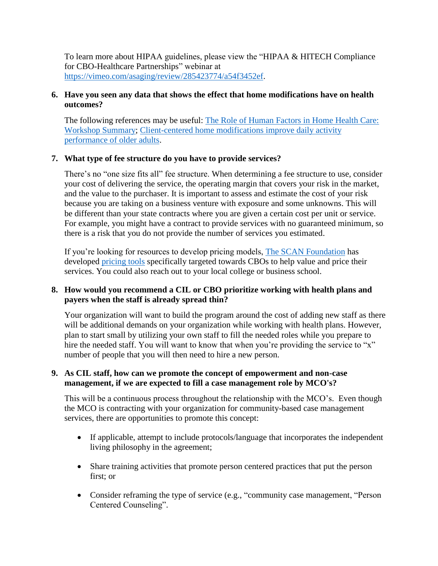To learn more about HIPAA guidelines, please view the "HIPAA & HITECH Compliance for CBO-Healthcare Partnerships" webinar at [https://vimeo.com/asaging/review/285423774/a54f3452ef.](https://vimeo.com/asaging/review/285423774/a54f3452ef)

#### **6. Have you seen any data that shows the effect that home modifications have on health outcomes?**

The following references may be useful: [The Role of Human Factors in Home Health Care:](https://www.ncbi.nlm.nih.gov/books/NBK210046/)  [Workshop Summary;](https://www.ncbi.nlm.nih.gov/books/NBK210046/) [Client-centered home modifications improve daily activity](https://www.ncbi.nlm.nih.gov/pmc/articles/PMC2857667/)  [performance of older adults.](https://www.ncbi.nlm.nih.gov/pmc/articles/PMC2857667/)

# **7. What type of fee structure do you have to provide services?**

There's no "one size fits all" fee structure. When determining a fee structure to use, consider your cost of delivering the service, the operating margin that covers your risk in the market, and the value to the purchaser. It is important to assess and estimate the cost of your risk because you are taking on a business venture with exposure and some unknowns. This will be different than your state contracts where you are given a certain cost per unit or service. For example, you might have a contract to provide services with no guaranteed minimum, so there is a risk that you do not provide the number of services you estimated.

If you're looking for resources to develop pricing models, [The SCAN Foundation](https://www.thescanfoundation.org/) has developed [pricing tools](https://www.thescanfoundation.org/tools-community-based-organizations) specifically targeted towards CBOs to help value and price their services. You could also reach out to your local college or business school.

# **8. How would you recommend a CIL or CBO prioritize working with health plans and payers when the staff is already spread thin?**

Your organization will want to build the program around the cost of adding new staff as there will be additional demands on your organization while working with health plans. However, plan to start small by utilizing your own staff to fill the needed roles while you prepare to hire the needed staff. You will want to know that when you're providing the service to "x" number of people that you will then need to hire a new person.

# **9. As CIL staff, how can we promote the concept of empowerment and non-case management, if we are expected to fill a case management role by MCO's?**

This will be a continuous process throughout the relationship with the MCO's. Even though the MCO is contracting with your organization for community-based case management services, there are opportunities to promote this concept:

- If applicable, attempt to include protocols/language that incorporates the independent living philosophy in the agreement;
- Share training activities that promote person centered practices that put the person first; or
- Consider reframing the type of service (e.g., "community case management, "Person Centered Counseling".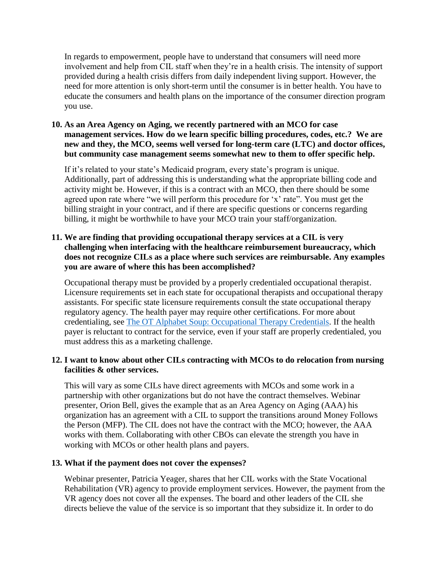In regards to empowerment, people have to understand that consumers will need more involvement and help from CIL staff when they're in a health crisis. The intensity of support provided during a health crisis differs from daily independent living support. However, the need for more attention is only short-term until the consumer is in better health. You have to educate the consumers and health plans on the importance of the consumer direction program you use.

#### **10. As an Area Agency on Aging, we recently partnered with an MCO for case management services. How do we learn specific billing procedures, codes, etc.? We are new and they, the MCO, seems well versed for long-term care (LTC) and doctor offices, but community case management seems somewhat new to them to offer specific help.**

If it's related to your state's Medicaid program, every state's program is unique. Additionally, part of addressing this is understanding what the appropriate billing code and activity might be. However, if this is a contract with an MCO, then there should be some agreed upon rate where "we will perform this procedure for 'x' rate". You must get the billing straight in your contract, and if there are specific questions or concerns regarding billing, it might be worthwhile to have your MCO train your staff/organization.

#### **11. We are finding that providing occupational therapy services at a CIL is very challenging when interfacing with the healthcare reimbursement bureaucracy, which does not recognize CILs as a place where such services are reimbursable. Any examples you are aware of where this has been accomplished?**

Occupational therapy must be provided by a properly credentialed occupational therapist. Licensure requirements set in each state for occupational therapists and occupational therapy assistants. For specific state licensure requirements consult the state occupational therapy regulatory agency. The health payer may require other certifications. For more about credentialing, see [The OT Alphabet Soup: Occupational Therapy Credentials.](https://www.newgradoccupationaltherapy.com/ot-alphabet-soup-occupational-therapy-credentials) If the health payer is reluctant to contract for the service, even if your staff are properly credentialed, you must address this as a marketing challenge.

#### **12. I want to know about other CILs contracting with MCOs to do relocation from nursing facilities & other services.**

This will vary as some CILs have direct agreements with MCOs and some work in a partnership with other organizations but do not have the contract themselves. Webinar presenter, Orion Bell, gives the example that as an Area Agency on Aging (AAA) his organization has an agreement with a CIL to support the transitions around Money Follows the Person (MFP). The CIL does not have the contract with the MCO; however, the AAA works with them. Collaborating with other CBOs can elevate the strength you have in working with MCOs or other health plans and payers.

# **13. What if the payment does not cover the expenses?**

Webinar presenter, Patricia Yeager, shares that her CIL works with the State Vocational Rehabilitation (VR) agency to provide employment services. However, the payment from the VR agency does not cover all the expenses. The board and other leaders of the CIL she directs believe the value of the service is so important that they subsidize it. In order to do